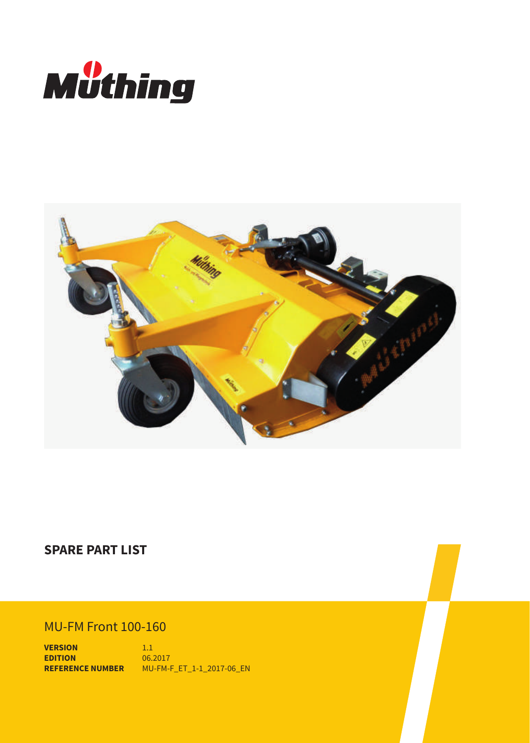



### **SPARE PART LIST**

### MU-FM Front 100-160

**VERSION** 1.1<br> **EDITION** 06.2017 **EDITION** 06.2017

**REFERENCE NUMBER** MU-FM-F\_ET\_1-1\_2017-06\_EN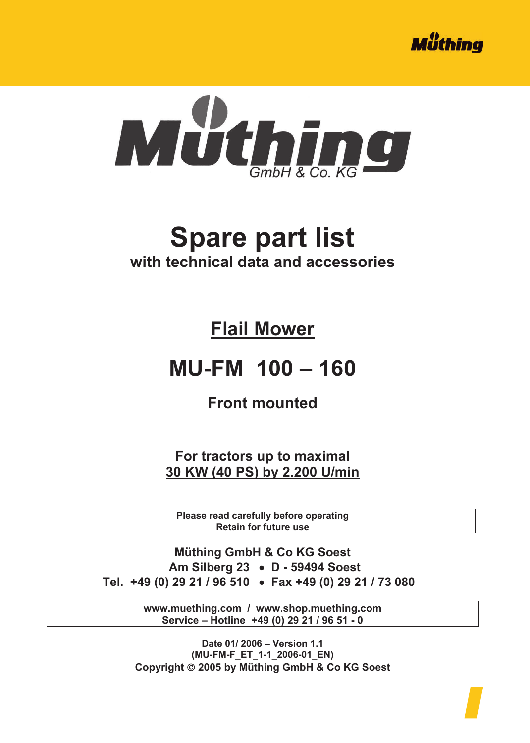



# **Spare part list with technical data and accessories**

**Flail Mower**

# **MU-FM 100 – 160**

**Front mounted** 

**For tractors up to maximal 30 KW (40 PS) by 2.200 U/min** 

**Please read carefully before operating Retain for future use** 

**Müthing GmbH & Co KG Soest Am Silberg 23 D - 59494 Soest Tel. +49 (0) 29 21 / 96 510 Fax +49 (0) 29 21 / 73 080** 

> **www.muething.com / www.shop.muething.com Service – Hotline +49 (0) 29 21 / 96 51 - 0**

**Date 01/ 2006 – Version 1.1 (MU-FM-F\_ET\_1-1\_2006-01\_EN) Copyright 2005 by Müthing GmbH & Co KG Soest**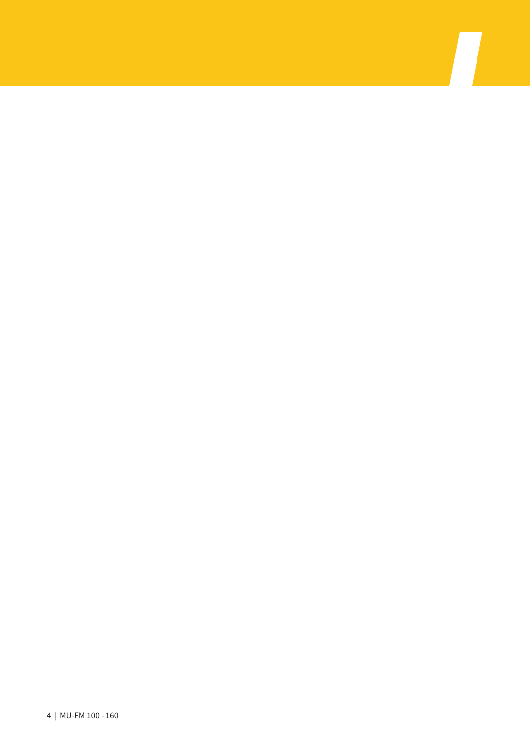4 | MU-FM 100 - 160

l.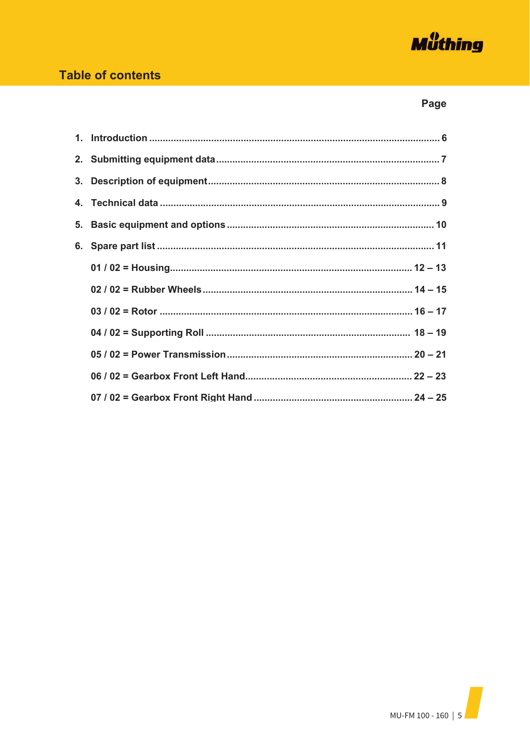

### **Table of contents**

### Page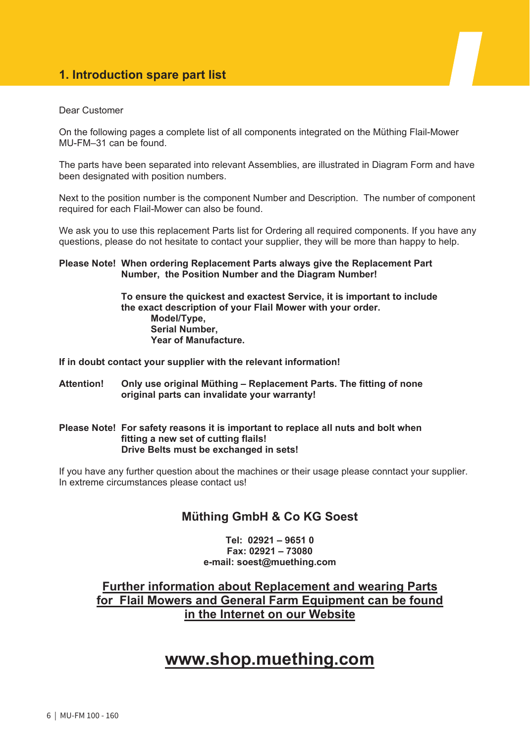### **1. Introduction spare part list**

#### Dear Customer

On the following pages a complete list of all components integrated on the Müthing Flail-Mower MU-FM–31 can be found.

The parts have been separated into relevant Assemblies, are illustrated in Diagram Form and have been designated with position numbers.

Next to the position number is the component Number and Description. The number of component required for each Flail-Mower can also be found.

We ask you to use this replacement Parts list for Ordering all required components. If you have any questions, please do not hesitate to contact your supplier, they will be more than happy to help.

#### **Please Note! When ordering Replacement Parts always give the Replacement Part Number, the Position Number and the Diagram Number!**

**To ensure the quickest and exactest Service, it is important to include the exact description of your Flail Mower with your order. Model/Type, Serial Number, Year of Manufacture.** 

**If in doubt contact your supplier with the relevant information!** 

- **Attention! Only use original Müthing Replacement Parts. The fitting of none original parts can invalidate your warranty!**
- **Please Note! For safety reasons it is important to replace all nuts and bolt when fitting a new set of cutting flails! Drive Belts must be exchanged in sets!**

If you have any further question about the machines or their usage please conntact your supplier. In extreme circumstances please contact us!

#### **Müthing GmbH & Co KG Soest**

**Tel: 02921 – 9651 0 Fax: 02921 – 73080 e-mail: soest@muething.com**

### **Further information about Replacement and wearing Parts for Flail Mowers and General Farm Equipment can be found in the Internet on our Website**

# **www.shop.muething.com**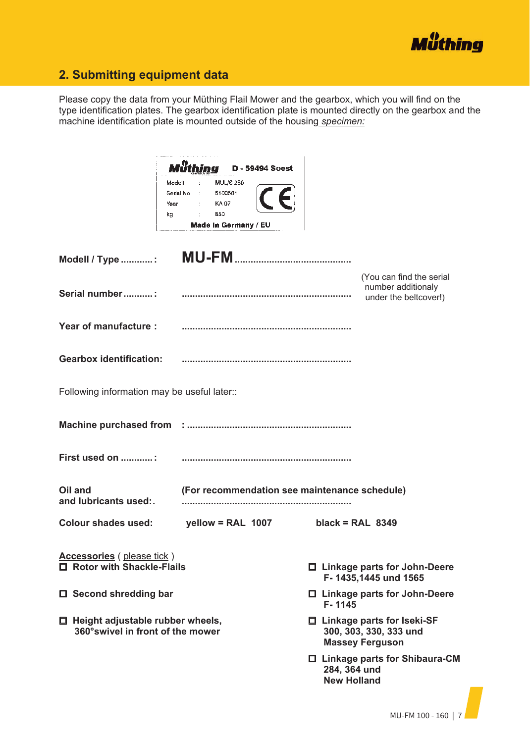

### **2. Submitting equipment data**

Please copy the data from your Müthing Flail Mower and the gearbox, which you will find on the type identification plates. The gearbox identification plate is mounted directly on the gearbox and the machine identification plate is mounted outside of the housing *specimen:*

|                                                                             | D - 59494 Soest                                    |                                                                                       |
|-----------------------------------------------------------------------------|----------------------------------------------------|---------------------------------------------------------------------------------------|
|                                                                             | <b>MUL/S 250</b><br>Modell<br>Serial No<br>5100501 |                                                                                       |
| Year                                                                        | KA 07                                              |                                                                                       |
| kg                                                                          | <b>B50</b><br>Made In Germany / EU                 |                                                                                       |
|                                                                             |                                                    |                                                                                       |
| Modell / Type :                                                             |                                                    |                                                                                       |
| Serial number:                                                              |                                                    | (You can find the serial<br>number additionaly<br>under the beltcover!)               |
| <b>Year of manufacture:</b>                                                 |                                                    |                                                                                       |
| <b>Gearbox identification:</b>                                              |                                                    |                                                                                       |
| Following information may be useful later::                                 |                                                    |                                                                                       |
|                                                                             |                                                    |                                                                                       |
| First used on :                                                             |                                                    |                                                                                       |
| Oil and<br>and lubricants used:.                                            | (For recommendation see maintenance schedule)      |                                                                                       |
| <b>Colour shades used:</b>                                                  | $yellow = RAL$ 1007                                | black = RAL $8349$                                                                    |
| <b>Accessories</b> (please tick)                                            |                                                    |                                                                                       |
| □ Rotor with Shackle-Flails                                                 |                                                    | $\Box$ Linkage parts for John-Deere<br>F-1435,1445 und 1565                           |
| $\Box$ Second shredding bar                                                 |                                                    | □ Linkage parts for John-Deere<br>F-1145                                              |
| $\Box$ Height adjustable rubber wheels,<br>360°swivel in front of the mower |                                                    | $\Box$ Linkage parts for Iseki-SF<br>300, 303, 330, 333 und<br><b>Massey Ferguson</b> |
|                                                                             |                                                    | □ Linkage parts for Shibaura-CM<br>284, 364 und<br><b>New Holland</b>                 |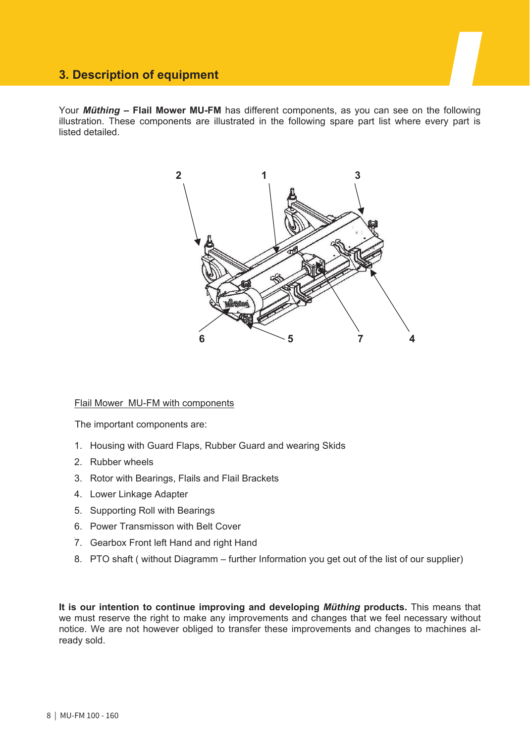### **3. Description of equipment**

Your *Müthing* **– Flail Mower MU-FM** has different components, as you can see on the following illustration. These components are illustrated in the following spare part list where every part is listed detailed.



#### Flail Mower MU-FM with components

The important components are:

- 1. Housing with Guard Flaps, Rubber Guard and wearing Skids
- 2. Rubber wheels
- 3. Rotor with Bearings, Flails and Flail Brackets
- 4. Lower Linkage Adapter
- 5. Supporting Roll with Bearings
- 6. Power Transmisson with Belt Cover
- 7. Gearbox Front left Hand and right Hand
- 8. PTO shaft ( without Diagramm further Information you get out of the list of our supplier)

**It is our intention to continue improving and developing** *Müthing* **products.** This means that we must reserve the right to make any improvements and changes that we feel necessary without notice. We are not however obliged to transfer these improvements and changes to machines already sold.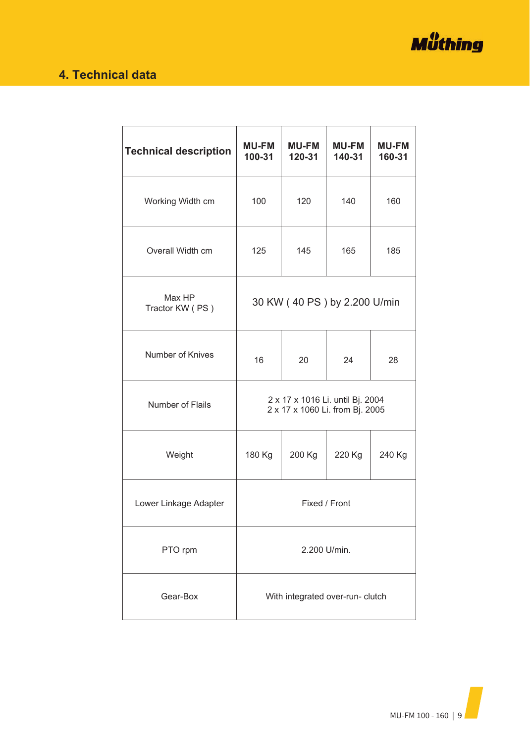

### **4. Technical data**

| <b>Technical description</b> | <b>MU-FM</b><br>100-31                                              | <b>MU-FM</b><br>120-31           | <b>MU-FM</b><br>140-31 | <b>MU-FM</b><br>160-31 |
|------------------------------|---------------------------------------------------------------------|----------------------------------|------------------------|------------------------|
| Working Width cm             | 100                                                                 | 120                              | 140                    | 160                    |
| Overall Width cm             | 125                                                                 | 145                              | 165                    | 185                    |
| Max HP<br>Tractor KW (PS)    | 30 KW (40 PS) by 2.200 U/min                                        |                                  |                        |                        |
| Number of Knives             | 16                                                                  | 20                               | 24                     | 28                     |
| Number of Flails             | 2 x 17 x 1016 Li. until Bj. 2004<br>2 x 17 x 1060 Li. from Bj. 2005 |                                  |                        |                        |
| Weight                       | 180 Kg                                                              | 200 Kg                           | 220 Kg                 | 240 Kg                 |
| Lower Linkage Adapter        | Fixed / Front                                                       |                                  |                        |                        |
| PTO rpm                      | 2.200 U/min.                                                        |                                  |                        |                        |
| Gear-Box                     |                                                                     | With integrated over-run- clutch |                        |                        |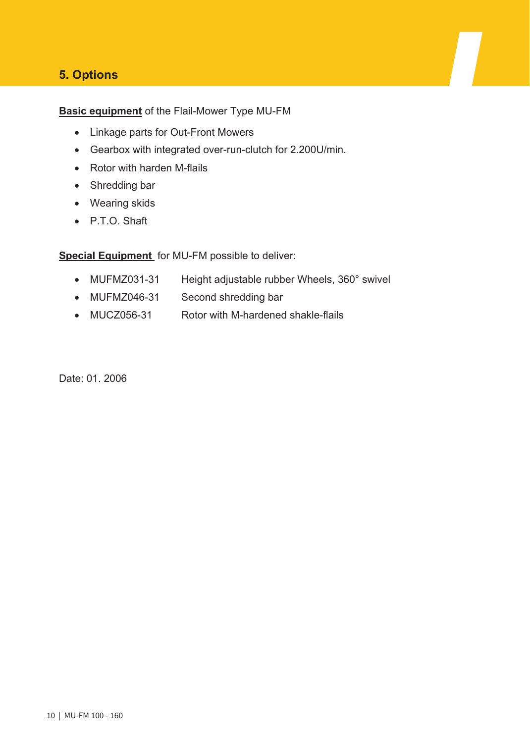### **5. Options**

#### **Basic equipment** of the Flail-Mower Type MU-FM

- Linkage parts for Out-Front Mowers
- Gearbox with integrated over-run-clutch for 2.200U/min.
- Rotor with harden M-flails
- Shredding bar
- Wearing skids
- P.T.O. Shaft

**Special Equipment** for MU-FM possible to deliver:

- MUFMZ031-31 Height adjustable rubber Wheels, 360° swivel
- MUFMZ046-31 Second shredding bar
- MUCZ056-31 Rotor with M-hardened shakle-flails

Date: 01. 2006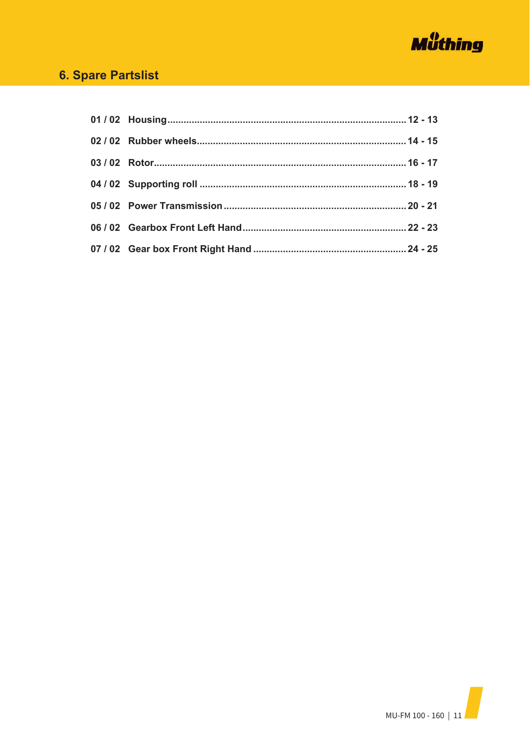

## **6. Spare Partslist**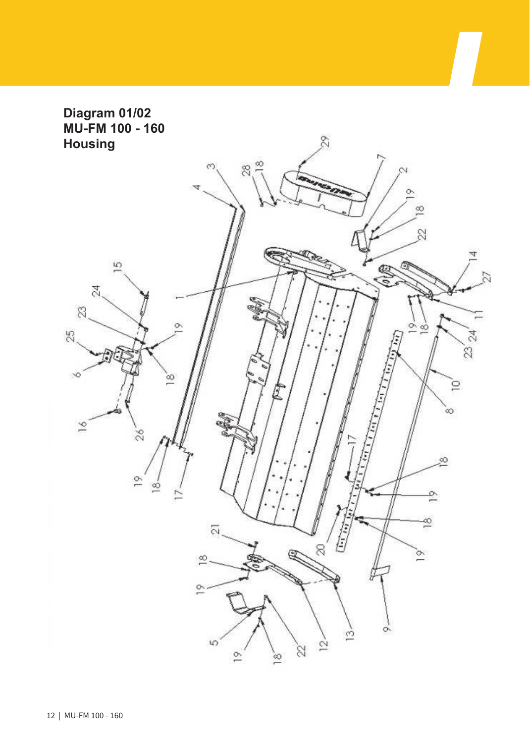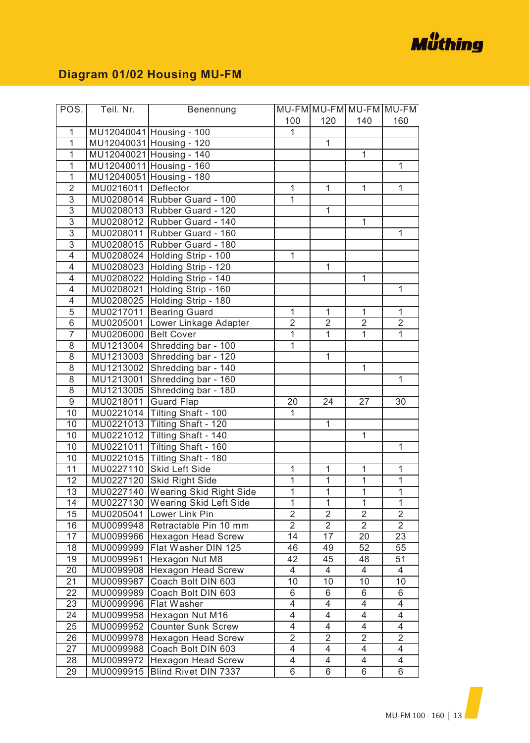

## **Diagram 01/02 Housing MU-FM**

| POS.                     | Teil. Nr.           | Benennung                                            |                |                |                                  | MU-FM MU-FM MU-FM MU-FM |
|--------------------------|---------------------|------------------------------------------------------|----------------|----------------|----------------------------------|-------------------------|
|                          |                     |                                                      | 100            | 120            | 140                              | 160                     |
| $\mathbf{1}$             |                     | MU12040041 Housing - 100                             | $\mathbf{1}$   |                |                                  |                         |
| $\overline{1}$           |                     | MU12040031 Housing - 120                             |                | $\mathbf{1}$   |                                  |                         |
| 1                        |                     | MU12040021 Housing - 140                             |                |                | $\mathbf{1}$                     |                         |
| $\overline{1}$           |                     | MU12040011 Housing - 160                             |                |                |                                  | $\mathbf{1}$            |
| $\mathbf 1$              |                     | MU12040051 Housing - 180                             |                |                |                                  |                         |
| $\overline{2}$           | MU0216011 Deflector |                                                      | 1              | $\mathbf{1}$   | $\mathbf{1}$                     | $\mathbf{1}$            |
| $\overline{3}$           |                     | MU0208014 Rubber Guard - 100                         | $\overline{1}$ |                |                                  |                         |
| $\overline{3}$           |                     | MU0208013 Rubber Guard - 120                         |                | $\mathbf{1}$   |                                  |                         |
| $\overline{3}$           |                     | MU0208012 Rubber Guard - 140                         |                |                | $\mathbf 1$                      |                         |
| $\overline{3}$           |                     | MU0208011 Rubber Guard - 160                         |                |                |                                  | $\mathbf{1}$            |
| $\overline{3}$           |                     | MU0208015 Rubber Guard - 180                         |                |                |                                  |                         |
| $\overline{\mathcal{L}}$ |                     | MU0208024 Holding Strip - 100                        | $\mathbf{1}$   |                |                                  |                         |
| $\overline{4}$           |                     | MU0208023 Holding Strip - 120                        |                | $\mathbf{1}$   |                                  |                         |
| $\overline{\mathcal{L}}$ | MU0208022           | Holding Strip - 140                                  |                |                | $\mathbf{1}$                     |                         |
| $\overline{\mathcal{L}}$ | MU0208021           |                                                      |                |                |                                  | 1                       |
| $\overline{4}$           |                     | Holding Strip - 160<br>MU0208025 Holding Strip - 180 |                |                |                                  |                         |
|                          |                     |                                                      |                |                |                                  | $\mathbf{1}$            |
| 5                        | MU0217011           | <b>Bearing Guard</b>                                 | $\mathbf{1}$   | $\mathbf{1}$   | $\mathbf 1$                      |                         |
| 6                        | MU0205001           | Lower Linkage Adapter                                | $\overline{2}$ | $\overline{2}$ | $\overline{2}$<br>$\overline{1}$ | $\overline{2}$          |
| $\overline{7}$           | MU0206000           | <b>Belt Cover</b>                                    | $\overline{1}$ | $\overline{1}$ |                                  | $\mathbf{1}$            |
| 8                        | MU1213004           | Shredding bar - 100                                  | 1              |                |                                  |                         |
| 8                        |                     | MU1213003 Shredding bar - 120                        |                | $\mathbf{1}$   |                                  |                         |
| $\overline{8}$           |                     | MU1213002 Shredding bar - 140                        |                |                | $\overline{1}$                   |                         |
| 8                        | MU1213001           | Shredding bar - 160                                  |                |                |                                  | $\mathbf{1}$            |
| 8                        | MU1213005           | Shredding bar - 180                                  |                |                |                                  |                         |
| $\overline{9}$           | MU0218011           | <b>Guard Flap</b>                                    | 20             | 24             | 27                               | 30                      |
| 10                       | MU0221014           | Tilting Shaft - 100                                  | 1              |                |                                  |                         |
| 10                       | MU0221013           | Tilting Shaft - 120                                  |                | $\mathbf{1}$   |                                  |                         |
| 10                       |                     | MU0221012 Tilting Shaft - 140                        |                |                | $\overline{1}$                   |                         |
| 10                       | MU0221011           | Tilting Shaft - 160                                  |                |                |                                  | 1                       |
| 10                       |                     | MU0221015 Tilting Shaft - 180                        |                |                |                                  |                         |
| $\overline{11}$          | MU0227110           | <b>Skid Left Side</b>                                | $\mathbf 1$    | $\overline{1}$ | $\overline{1}$                   | $\mathbf{1}$            |
| 12                       | MU0227120           | <b>Skid Right Side</b>                               | $\overline{1}$ | $\mathbf{1}$   | $\overline{1}$                   | $\mathbf{1}$            |
| 13                       | MU0227140           | Wearing Skid Right Side                              | 1              | 1              | 1                                | 1                       |
| 14                       | MU0227130           | Wearing Skid Left Side                               | $\overline{1}$ | $\overline{1}$ | $\overline{1}$                   | $\mathbf{1}$            |
| 15                       | MU0205041           | Lower Link Pin                                       | $\overline{2}$ | $\overline{2}$ | $\overline{2}$                   | $\overline{2}$          |
| 16                       | MU0099948           | Retractable Pin 10 mm                                | $\overline{2}$ | $\overline{2}$ | $\overline{2}$                   | $\overline{2}$          |
| 17                       | MU0099966           | <b>Hexagon Head Screw</b>                            | 14             | 17             | 20                               | 23                      |
| 18                       | MU0099999           | Flat Washer DIN 125                                  | 46             | 49             | 52                               | 55                      |
| 19                       | MU0099961           | Hexagon Nut M8                                       | 42             | 45             | 48                               | 51                      |
| 20                       | MU0099908           | <b>Hexagon Head Screw</b>                            | $\overline{4}$ | $\overline{4}$ | $\overline{4}$                   | $\overline{4}$          |
| 21                       | MU0099987           | Coach Bolt DIN 603                                   | 10             | 10             | 10                               | 10                      |
| 22                       | MU0099989           | Coach Bolt DIN 603                                   | 6              | 6              | 6                                | 6                       |
| 23                       | MU0099996           | Flat Washer                                          | $\overline{4}$ | $\overline{4}$ | $\overline{4}$                   | 4                       |
| 24                       | MU0099958           | Hexagon Nut M16                                      | 4              | 4              | $\overline{4}$                   | 4                       |
| 25                       | MU0099952           | <b>Counter Sunk Screw</b>                            | 4              | 4              | 4                                | 4                       |
| 26                       | MU0099978           | <b>Hexagon Head Screw</b>                            | $\overline{2}$ | $\overline{2}$ | $\overline{2}$                   | $\overline{2}$          |
| 27                       | MU0099988           | Coach Bolt DIN 603                                   | 4              | $\overline{4}$ | $\overline{4}$                   | $\overline{4}$          |
| 28                       | MU0099972           | <b>Hexagon Head Screw</b>                            | 4              | 4              | $\overline{4}$                   | 4                       |
| 29                       | MU0099915           | Blind Rivet DIN 7337                                 | 6              | 6              | $\,6$                            | 6                       |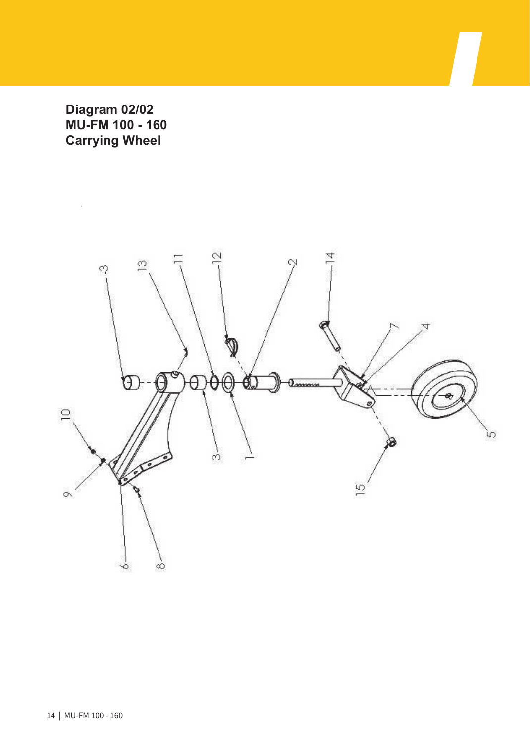**Diagram 02/02 MU-FM 100 - 160 Carrying Wheel** 

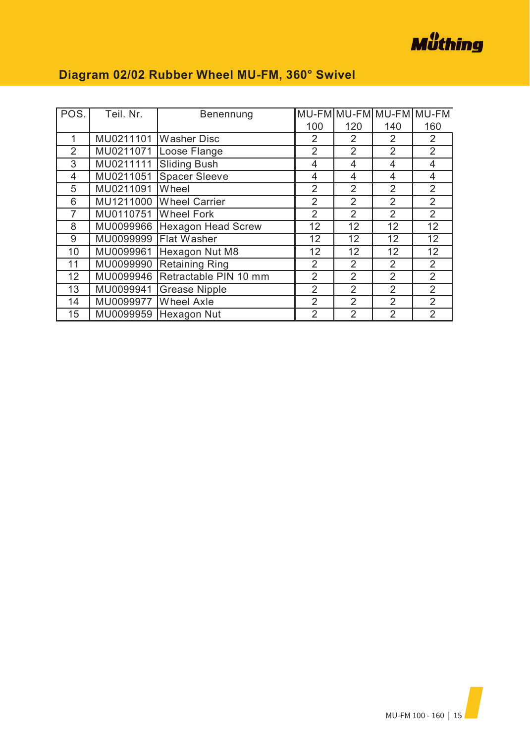

|  | Diagram 02/02 Rubber Wheel MU-FM, 360° Swivel |  |  |
|--|-----------------------------------------------|--|--|
|--|-----------------------------------------------|--|--|

| POS.           | Teil, Nr.            | Benennung                    |                |                | MU-FM MU-FM MU-FM MU-FM |                |
|----------------|----------------------|------------------------------|----------------|----------------|-------------------------|----------------|
|                |                      |                              | 100            | 120            | 140                     | 160            |
|                |                      | MU0211101 Washer Disc        | 2              | 2              | 2                       | $\overline{2}$ |
| $\overline{2}$ |                      | MU0211071 Loose Flange       | $\overline{2}$ | $\overline{2}$ | 2                       | $\overline{2}$ |
| 3              | MU0211111            | <b>Sliding Bush</b>          | 4              | 4              | 4                       | 4              |
| 4              | MU0211051            | <b>Spacer Sleeve</b>         | 4              | 4              | 4                       | 4              |
| 5              | MU0211091            | Wheel                        | 2              | $\overline{2}$ | $\overline{2}$          | $\overline{2}$ |
| 6              | MU1211000            | <b>Wheel Carrier</b>         | $\overline{2}$ | $\overline{2}$ | $\overline{2}$          | $\overline{2}$ |
| 7              | MU0110751 Wheel Fork |                              | $\overline{2}$ | $\overline{2}$ | $\overline{2}$          | 2              |
| 8              |                      | MU0099966 Hexagon Head Screw | 12             | 12             | 12                      | 12             |
| 9              | MU0099999            | <b>Flat Washer</b>           | 12             | 12             | 12                      | 12             |
| 10             | MU0099961            | Hexagon Nut M8               | 12             | 12             | 12                      | 12             |
| 11             | MU0099990            | <b>Retaining Ring</b>        | $\overline{2}$ | $\overline{2}$ | $\overline{2}$          | $\overline{2}$ |
| 12             | MU0099946            | Retractable PIN 10 mm        | $\overline{2}$ | $\overline{2}$ | $\overline{2}$          | $\overline{2}$ |
| 13             | MU0099941            | <b>Grease Nipple</b>         | $\overline{2}$ | $\overline{2}$ | $\overline{2}$          | $\overline{2}$ |
| 14             | MU0099977            | <b>Wheel Axle</b>            | $\overline{2}$ | $\overline{2}$ | $\overline{2}$          | 2              |
| 15             | MU0099959            | <b>Hexagon Nut</b>           | $\overline{2}$ | $\overline{2}$ | $\overline{2}$          | $\overline{2}$ |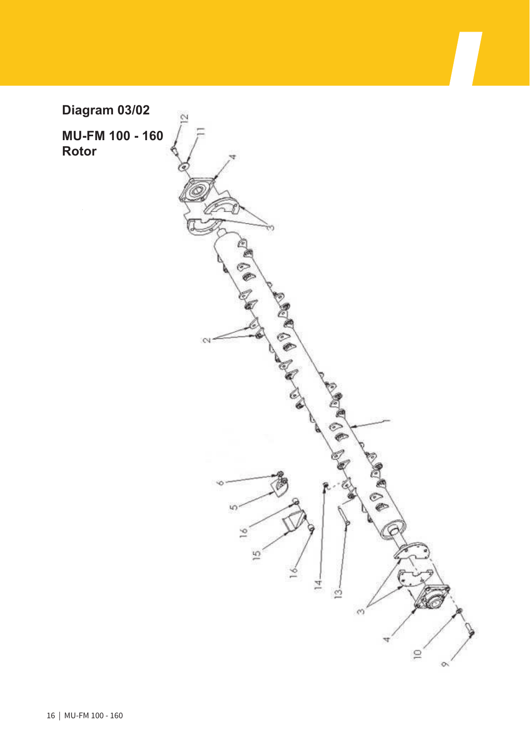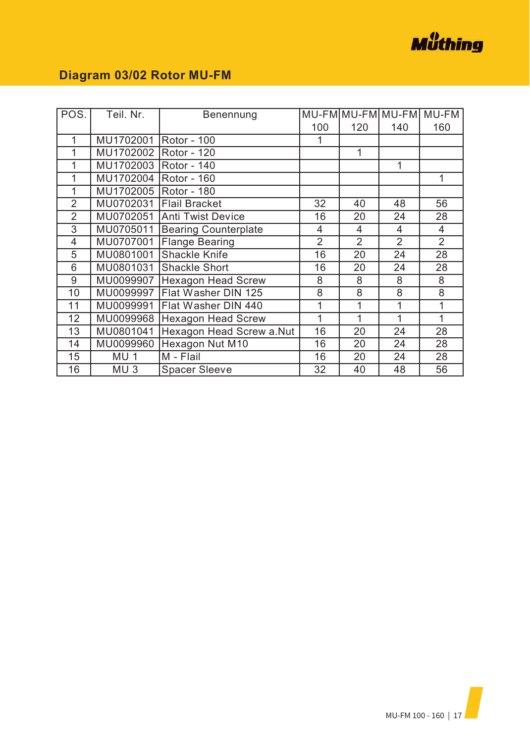

# **Diagram 03/02 Rotor MU-FM**

| POS.           | Teil. Nr.       | Benennung                   |                 |                | MU-FM MU-FM MU-FM | MU-FM          |
|----------------|-----------------|-----------------------------|-----------------|----------------|-------------------|----------------|
|                |                 |                             | 100             | 120            | 140               | 160            |
|                | MU1702001       | <b>Rotor - 100</b>          |                 |                |                   |                |
|                | MU1702002       | <b>Rotor - 120</b>          |                 | 1              |                   |                |
|                | MU1702003       | <b>Rotor - 140</b>          |                 |                | 1                 |                |
|                | MU1702004       | <b>Rotor - 160</b>          |                 |                |                   | 1              |
|                | MU1702005       | Rotor - 180                 |                 |                |                   |                |
| $\overline{2}$ | MU0702031       | <b>Flail Bracket</b>        | 32              | 40             | 48                | 56             |
| $\overline{2}$ | MU0702051       | <b>Anti Twist Device</b>    | 16              | 20             | 24                | 28             |
| 3              | MU0705011       | <b>Bearing Counterplate</b> | 4               | $\overline{4}$ | 4                 | $\overline{4}$ |
| 4              | MU0707001       | <b>Flange Bearing</b>       | $\overline{2}$  | $\overline{2}$ | $\overline{2}$    | 2              |
| 5              | MU0801001       | <b>Shackle Knife</b>        | 16              | 20             | 24                | 28             |
| 6              | MU0801031       | <b>Shackle Short</b>        | 16              | 20             | 24                | 28             |
| 9              | MU0099907       | <b>Hexagon Head Screw</b>   | 8               | 8              | 8                 | 8              |
| 10             | MU0099997       | Flat Washer DIN 125         | 8               | 8              | 8                 | 8              |
| 11             | MU0099991       | Flat Washer DIN 440         | 1               | 1              | 1                 | 1              |
| 12             | MU0099968       | <b>Hexagon Head Screw</b>   | 1               | 1              | 1                 | 1              |
| 13             | MU0801041       | Hexagon Head Screw a.Nut    | $\overline{16}$ | 20             | 24                | 28             |
| 14             | MU0099960       | Hexagon Nut M10             | 16              | 20             | 24                | 28             |
| 15             | MU <sub>1</sub> | M - Flail                   | 16              | 20             | 24                | 28             |
| 16             | MU <sub>3</sub> | <b>Spacer Sleeve</b>        | 32              | 40             | 48                | 56             |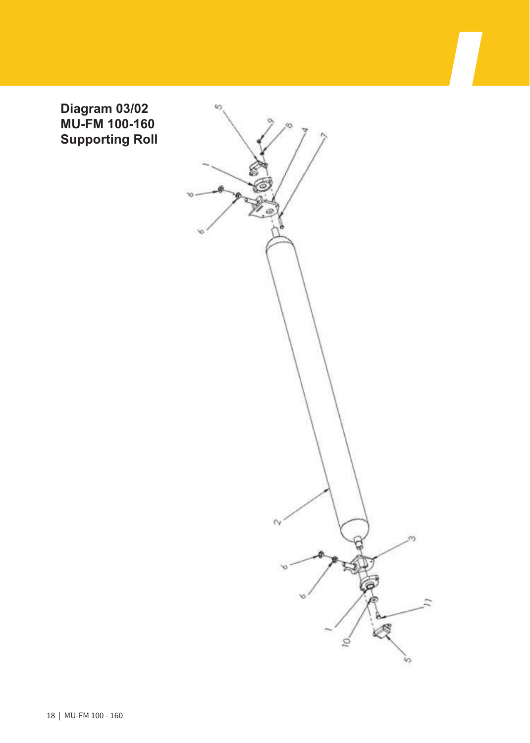

**Diagram 03/02 MU-FM 100-160 Supporting Roll**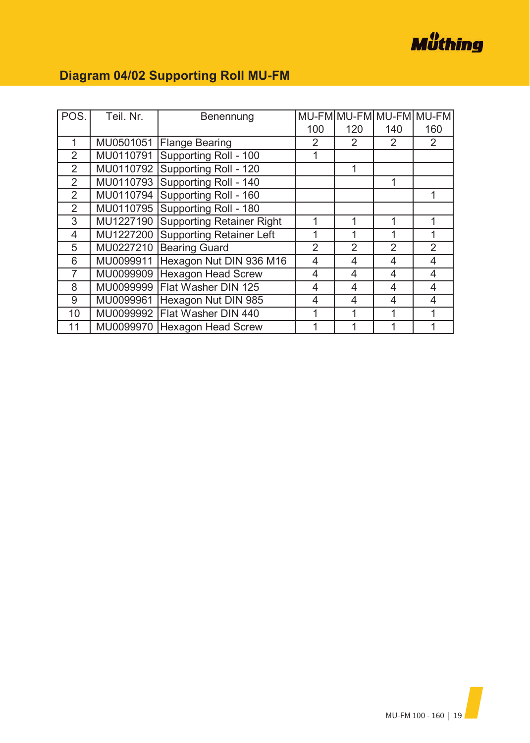

# **Diagram 04/02 Supporting Roll MU-FM**

| POS.           | Teil. Nr. | Benennung                        |                |                |                | MU-FM MU-FM MU-FM MU-FM |
|----------------|-----------|----------------------------------|----------------|----------------|----------------|-------------------------|
|                |           |                                  | 100            | 120            | 140            | 160                     |
|                | MU0501051 | <b>Flange Bearing</b>            |                | $\overline{2}$ | $\overline{2}$ | $\overline{2}$          |
| $\overline{2}$ | MU0110791 | Supporting Roll - 100            |                |                |                |                         |
| $\overline{2}$ | MU0110792 | <b>Supporting Roll - 120</b>     |                |                |                |                         |
| $\overline{2}$ | MU0110793 | Supporting Roll - 140            |                |                |                |                         |
| $\overline{2}$ | MU0110794 | Supporting Roll - 160            |                |                |                |                         |
| $\overline{2}$ | MU0110795 | Supporting Roll - 180            |                |                |                |                         |
| 3              | MU1227190 | <b>Supporting Retainer Right</b> |                |                |                |                         |
| 4              | MU1227200 | <b>Supporting Retainer Left</b>  |                |                |                |                         |
| 5              | MU0227210 | <b>Bearing Guard</b>             | $\overline{2}$ | $\overline{2}$ | $\mathfrak{D}$ | $\mathfrak{D}$          |
| 6              | MU0099911 | Hexagon Nut DIN 936 M16          | 4              | 4              | 4              | 4                       |
| 7              | MU0099909 | <b>Hexagon Head Screw</b>        | 4              | 4              | 4              | 4                       |
| 8              | MU0099999 | Flat Washer DIN 125              | 4              | 4              | 4              | 4                       |
| 9              | MU0099961 | Hexagon Nut DIN 985              | 4              | 4              | 4              | 4                       |
| 10             | MU0099992 | Flat Washer DIN 440              | 1              | 1              |                |                         |
| 11             |           | MU0099970 Hexagon Head Screw     |                |                |                |                         |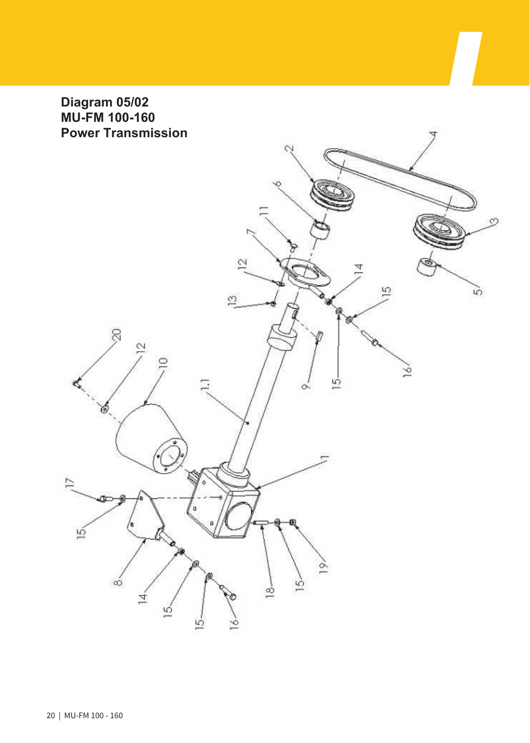

#### 20 | MU-FM 100 - 160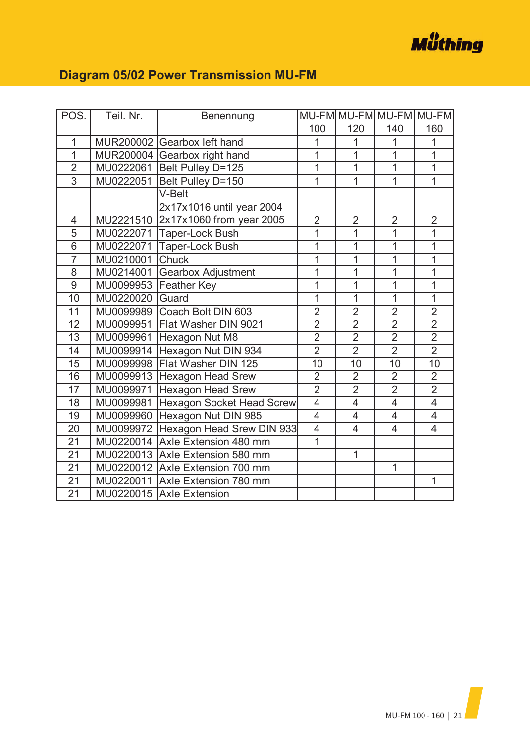

## **Diagram 05/02 Power Transmission MU-FM**

| POS.            | Teil. Nr. | Benennung                        |                 |                |                 | MU-FM MU-FM MU-FM MU-FM |
|-----------------|-----------|----------------------------------|-----------------|----------------|-----------------|-------------------------|
|                 |           |                                  | 100             | 120            | 140             | 160                     |
| 1               | MUR200002 | Gearbox left hand                | 1               | 1              | 1               | 1                       |
| $\overline{1}$  | MUR200004 | Gearbox right hand               | 1               | $\overline{1}$ | $\overline{1}$  | 1                       |
| $\overline{2}$  | MU0222061 | Belt Pulley D=125                | $\overline{1}$  | $\overline{1}$ | $\overline{1}$  | $\mathbf{1}$            |
| $\overline{3}$  | MU0222051 | Belt Pulley D=150                | 1               | $\overline{1}$ | $\overline{1}$  | 1                       |
|                 |           | V-Belt                           |                 |                |                 |                         |
|                 |           | 2x17x1016 until year 2004        |                 |                |                 |                         |
| 4               | MU2221510 | 2x17x1060 from year 2005         | $\overline{2}$  | $\overline{2}$ | $\overline{2}$  | $\overline{2}$          |
| $\overline{5}$  | MU0222071 | <b>Taper-Lock Bush</b>           | 1               | $\overline{1}$ | $\overline{1}$  | 1                       |
| 6               |           | MU0222071 Taper-Lock Bush        | 1               | 1              | $\overline{1}$  | 1                       |
| $\overline{7}$  | MU0210001 | <b>Chuck</b>                     | 1               | $\overline{1}$ | $\overline{1}$  | 1                       |
| 8               | MU0214001 | <b>Gearbox Adjustment</b>        | 1               | 1              | $\overline{1}$  | 1                       |
| $\overline{9}$  | MU0099953 | Feather Key                      | 1               | $\overline{1}$ | $\overline{1}$  | 1                       |
| 10              | MU0220020 | Guard                            | 1               | $\overline{1}$ | $\mathbf 1$     | 1                       |
| $\overline{11}$ | MU0099989 | Coach Bolt DIN 603               | $\overline{2}$  | $\overline{2}$ | $\overline{2}$  | $\overline{2}$          |
| 12              | MU0099951 | Flat Washer DIN 9021             | $\overline{2}$  | $\overline{2}$ | $\overline{2}$  | $\overline{2}$          |
| 13              | MU0099961 | Hexagon Nut M8                   | $\overline{2}$  | $\overline{2}$ | $\overline{2}$  | $\overline{2}$          |
| 14              | MU0099914 | Hexagon Nut DIN 934              | $\overline{2}$  | $\overline{2}$ | $\overline{2}$  | $\overline{2}$          |
| $\overline{15}$ | MU0099998 | Flat Washer DIN 125              | $\overline{10}$ | 10             | $\overline{10}$ | $\overline{10}$         |
| 16              | MU0099913 | <b>Hexagon Head Srew</b>         | $\overline{2}$  | $\overline{2}$ | $\overline{2}$  | $\overline{2}$          |
| $\overline{17}$ | MU0099971 | <b>Hexagon Head Srew</b>         | $\overline{2}$  | $\overline{2}$ | $\overline{2}$  | $\overline{2}$          |
| 18              | MU0099981 | <b>Hexagon Socket Head Screw</b> | $\overline{4}$  | $\overline{4}$ | $\overline{4}$  | $\overline{4}$          |
| 19              | MU0099960 | Hexagon Nut DIN 985              | $\overline{4}$  | $\overline{4}$ | $\overline{4}$  | $\overline{4}$          |
| 20              | MU0099972 | Hexagon Head Srew DIN 933        | $\overline{4}$  | $\overline{4}$ | $\overline{4}$  | $\overline{4}$          |
| 21              | MU0220014 | Axle Extension 480 mm            | 1               |                |                 |                         |
| 21              | MU0220013 | Axle Extension 580 mm            |                 | 1              |                 |                         |
| $\overline{21}$ | MU0220012 | Axle Extension 700 mm            |                 |                | $\mathbf{1}$    |                         |
| 21              | MU0220011 | Axle Extension 780 mm            |                 |                |                 | 1                       |
| $\overline{21}$ | MU0220015 | <b>Axle Extension</b>            |                 |                |                 |                         |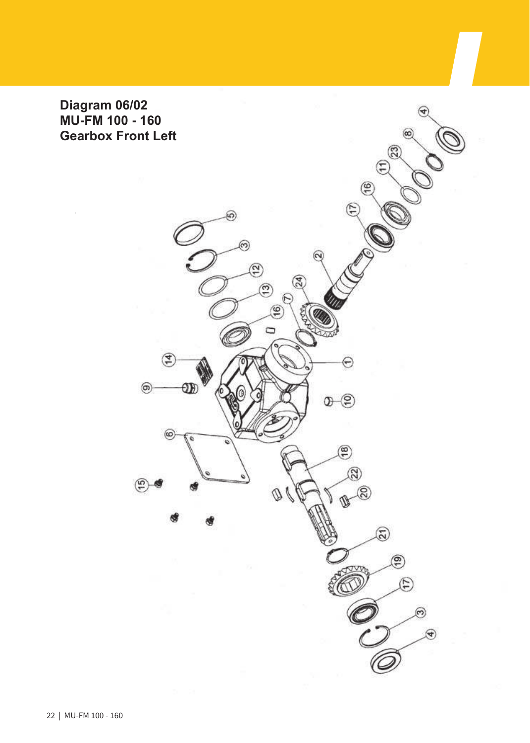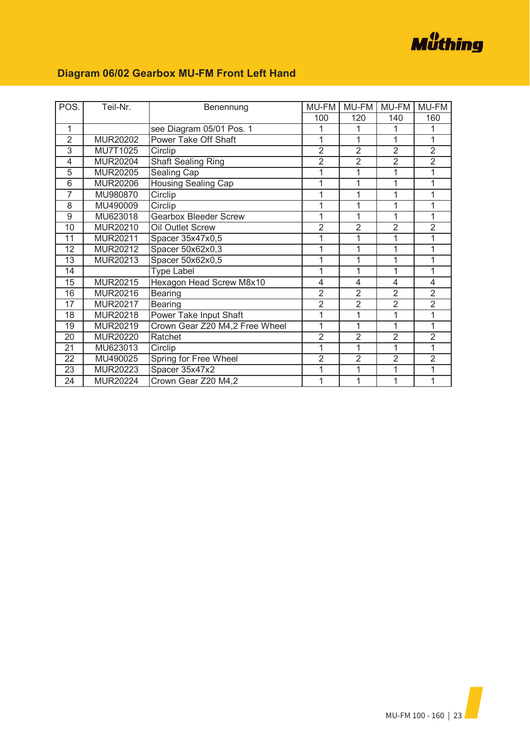

### **Diagram 06/02 Gearbox MU-FM Front Left Hand**

| POS.            | Teil-Nr.        | Benennung                      | MU-FM          | MU-FM                    | MU-FM                    | <b>MU-FM</b>   |
|-----------------|-----------------|--------------------------------|----------------|--------------------------|--------------------------|----------------|
|                 |                 |                                | 100            | 120                      | 140                      | 160            |
| 1               |                 | see Diagram 05/01 Pos. 1       | 1              | 1                        | 1                        | 1              |
| $\overline{2}$  | MUR20202        | Power Take Off Shaft           | 1              | 1                        | 1                        | 1              |
| 3               | MU7T1025        | Circlip                        | $\overline{2}$ | $\overline{2}$           | $\overline{2}$           | $\overline{2}$ |
| 4               | <b>MUR20204</b> | <b>Shaft Sealing Ring</b>      | $\overline{2}$ | $\overline{2}$           | $\overline{2}$           | $\overline{2}$ |
| 5               | MUR20205        | Sealing Cap                    | 1              | 1                        | 1                        |                |
| 6               | <b>MUR20206</b> | <b>Housing Sealing Cap</b>     | 1              | 1                        | 1                        |                |
| $\overline{7}$  | MU980870        | Circlip                        | 1              | 1                        | 1                        |                |
| 8               | MU490009        | Circlip                        | 1              | 1                        | 1                        | 1              |
| 9               | MU623018        | <b>Gearbox Bleeder Screw</b>   | 1              | 1                        | 1                        | 1              |
| 10              | MUR20210        | Oil Outlet Screw               | $\overline{2}$ | $\overline{2}$           | $\overline{2}$           | $\overline{2}$ |
| 11              | MUR20211        | Spacer 35x47x0,5               | 1              | 1                        | 1                        |                |
| 12              | MUR20212        | Spacer 50x62x0,3               | 1              | 1                        | 1                        |                |
| 13              | MUR20213        | Spacer 50x62x0,5               | 1              | 1                        | 1                        | 1              |
| 14              |                 | <b>Type Label</b>              | 1              | 1                        | 1                        | 1              |
| 15              | MUR20215        | Hexagon Head Screw M8x10       | 4              | $\overline{\mathcal{L}}$ | $\overline{\mathcal{L}}$ | 4              |
| 16              | MUR20216        | Bearing                        | $\overline{2}$ | $\overline{2}$           | $\overline{2}$           | $\overline{2}$ |
| 17              | MUR20217        | <b>Bearing</b>                 | $\overline{2}$ | $\overline{2}$           | $\overline{2}$           | $\overline{2}$ |
| 18              | MUR20218        | Power Take Input Shaft         | 1              | 1                        | 1                        | 1              |
| 19              | MUR20219        | Crown Gear Z20 M4,2 Free Wheel | 1              | 1                        | 1                        | 1              |
| 20              | MUR20220        | Ratchet                        | $\overline{2}$ | $\overline{2}$           | $\overline{2}$           | $\overline{2}$ |
| 21              | MU623013        | Circlip                        | 1              | 1                        | 1                        | 1              |
| 22              | MU490025        | Spring for Free Wheel          | $\overline{2}$ | $\overline{2}$           | $\overline{2}$           | $\overline{2}$ |
| 23              | MUR20223        | Spacer 35x47x2                 | 1              | 1                        | $\mathbf 1$              | 1              |
| $\overline{24}$ | MUR20224        | Crown Gear Z20 M4,2            | 1              | 1                        | 1                        | 1              |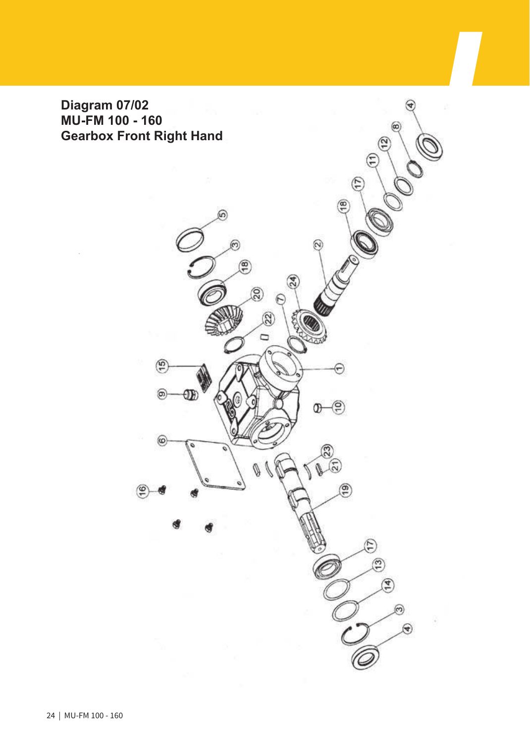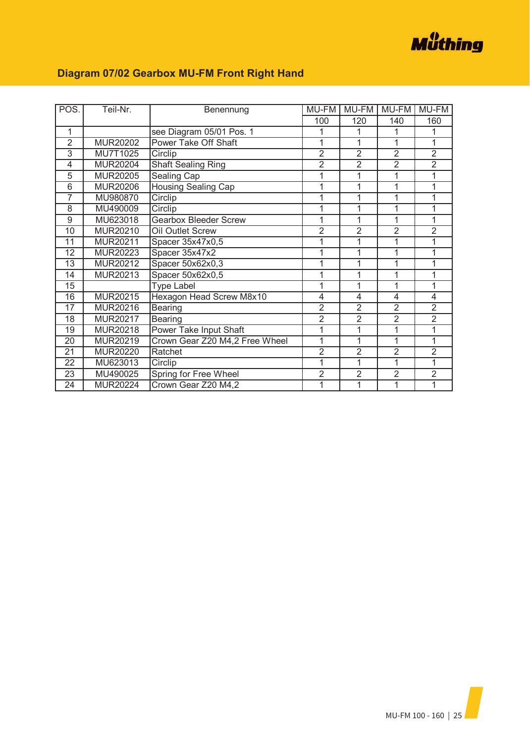

### **Diagram 07/02 Gearbox MU-FM Front Right Hand**

| POS.           | Teil-Nr.        | Benennung                      | MU-FM          | MU-FM          | MU-FM          | MU-FM          |
|----------------|-----------------|--------------------------------|----------------|----------------|----------------|----------------|
|                |                 |                                | 100            | 120            | 140            | 160            |
| 1              |                 | see Diagram 05/01 Pos. 1       | 1              | 1              | 1              | 1              |
| $\overline{2}$ | <b>MUR20202</b> | Power Take Off Shaft           | 1              | 1              | 1              | 1              |
| 3              | MU7T1025        | Circlip                        | $\overline{2}$ | $\overline{2}$ | $\overline{2}$ | $\overline{2}$ |
| 4              | <b>MUR20204</b> | <b>Shaft Sealing Ring</b>      | $\overline{2}$ | $\overline{2}$ | $\overline{2}$ | $\overline{2}$ |
| 5              | <b>MUR20205</b> | Sealing Cap                    | 1              | 1              | 1              | 1              |
| 6              | <b>MUR20206</b> | <b>Housing Sealing Cap</b>     | 1              | 1              | 1              | 1              |
| 7              | MU980870        | Circlip                        | 1              | 1              | 1              |                |
| 8              | MU490009        | Circlip                        | 1              | 1              | 1              | 1              |
| 9              | MU623018        | Gearbox Bleeder Screw          | 1              | 1              | 1              | 1              |
| 10             | MUR20210        | Oil Outlet Screw               | $\overline{2}$ | $\overline{2}$ | $\overline{2}$ | 2              |
| 11             | MUR20211        | Spacer 35x47x0,5               | 1              | 1              | 1              | 1              |
| 12             | MUR20223        | Spacer 35x47x2                 | 1              | 1              | 1              | 1              |
| 13             | MUR20212        | Spacer 50x62x0,3               | 1              | 1              | 1              | 1              |
| 14             | MUR20213        | Spacer 50x62x0,5               | 1              | 1              | 1              | 1              |
| 15             |                 | <b>Type Label</b>              | 1              | 1              | 1              | 1              |
| 16             | MUR20215        | Hexagon Head Screw M8x10       | $\overline{4}$ | 4              | 4              | 4              |
| 17             | MUR20216        | Bearing                        | $\overline{2}$ | $\overline{2}$ | $\overline{2}$ | $\overline{2}$ |
| 18             | MUR20217        | <b>Bearing</b>                 | $\overline{2}$ | $\overline{2}$ | $\overline{2}$ | $\overline{2}$ |
| 19             | MUR20218        | Power Take Input Shaft         | 1              | 1              | 1              | 1              |
| 20             | MUR20219        | Crown Gear Z20 M4,2 Free Wheel | $\overline{1}$ | 1              | 1              | 1              |
| 21             | MUR20220        | Ratchet                        | $\overline{2}$ | $\overline{2}$ | $\overline{2}$ | $\overline{2}$ |
| 22             | MU623013        | Circlip                        | 1              | 1              | 1              | 1              |
| 23             | MU490025        | Spring for Free Wheel          | $\overline{2}$ | $\overline{2}$ | $\overline{2}$ | $\overline{2}$ |
| 24             | MUR20224        | Crown Gear Z20 M4,2            | 1              | 1              | 1              | 1              |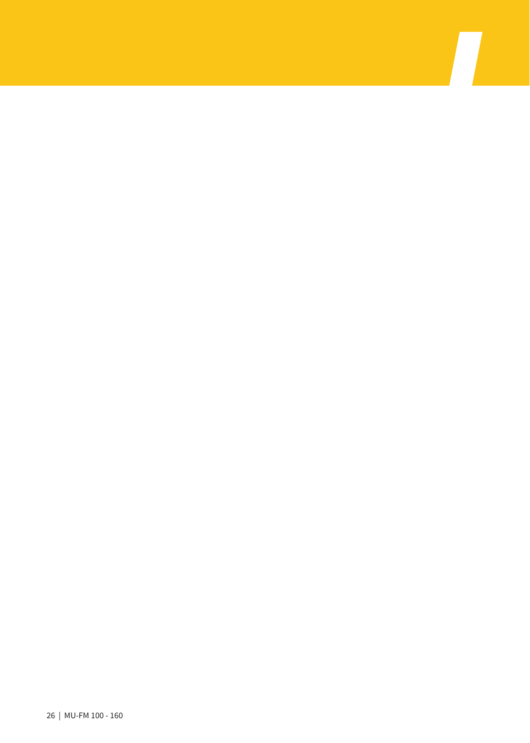26 | MU-FM 100 - 160

 $\mathcal{L}$ 

 $\mathcal{L}$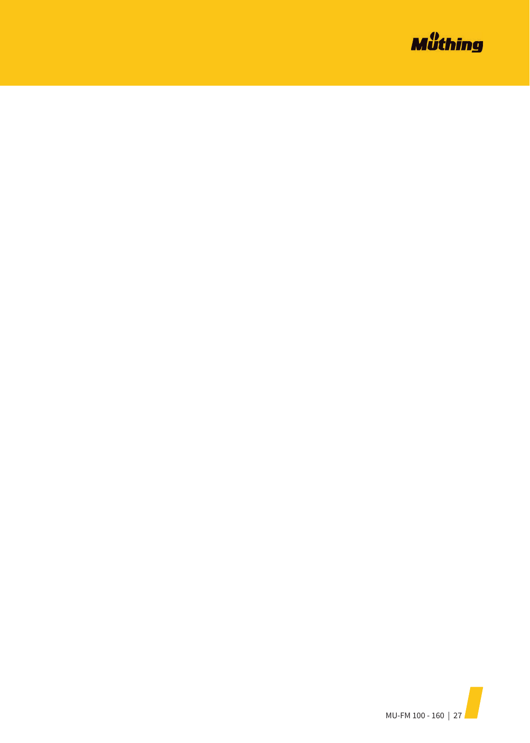